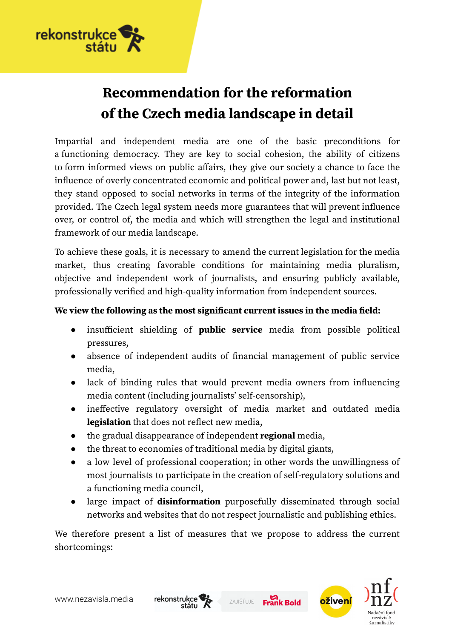

# **Recommendation for the reformation of the Czech media landscape in detail**

Impartial and independent media are one of the basic preconditions for a functioning democracy. They are key to social cohesion, the ability of citizens to form informed views on public affairs, they give our society a chance to face the influence of overly concentrated economic and political power and, last but not least, they stand opposed to social networks in terms of the integrity of the information provided. The Czech legal system needs more guarantees that will prevent influence over, or control of, the media and which will strengthen the legal and institutional framework of our media landscape.

To achieve these goals, it is necessary to amend the current legislation for the media market, thus creating favorable conditions for maintaining media pluralism, objective and independent work of journalists, and ensuring publicly available, professionally verified and high-quality information from independent sources.

#### **We view the following as the most significant current issues in the media field:**

- insufficient shielding of **public service** media from possible political pressures,
- absence of independent audits of financial management of public service media,
- lack of binding rules that would prevent media owners from influencing media content (including journalists' self-censorship),
- ineffective regulatory oversight of media market and outdated media **legislation** that does not reflect new media,
- the gradual disappearance of independent **regional** media,
- the threat to economies of traditional media by digital giants,
- a low level of professional cooperation; in other words the unwillingness of most journalists to participate in the creation of self-regulatory solutions and a functioning media council,
- large impact of **disinformation** purposefully disseminated through social networks and websites that do not respect journalistic and publishing ethics.

ZAJIŠŤUJE

**Frank Bold** 

We therefore present a list of measures that we propose to address the current shortcomings:



www.nezavisla.media

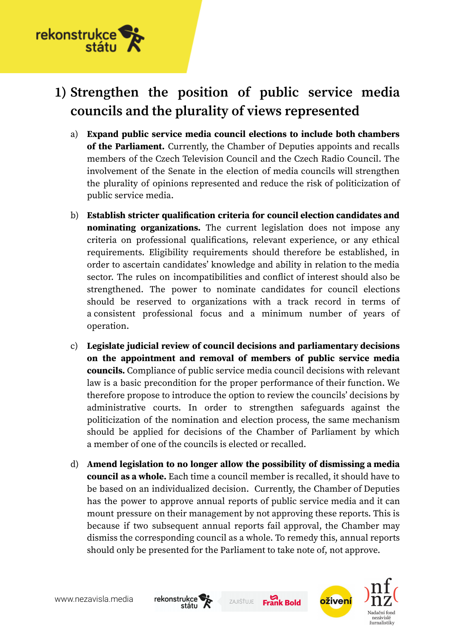

# **1) Strengthen the position of public service media councils and the plurality of views represented**

- a) **Expand public service media council elections to include both chambers of the Parliament.** Currently, the Chamber of Deputies appoints and recalls members of the Czech Television Council and the Czech Radio Council. The involvement of the Senate in the election of media councils will strengthen the plurality of opinions represented and reduce the risk of politicization of public service media.
- b) **Establish stricter qualification criteria for council election candidates and nominating organizations.** The current legislation does not impose any criteria on professional qualifications, relevant experience, or any ethical requirements. Eligibility requirements should therefore be established, in order to ascertain candidates' knowledge and ability in relation to the media sector. The rules on incompatibilities and conflict of interest should also be strengthened. The power to nominate candidates for council elections should be reserved to organizations with a track record in terms of a consistent professional focus and a minimum number of years of operation.
- c) **Legislate judicial review of council decisions and parliamentary decisions on the appointment and removal of members of public service media councils.** Compliance of public service media council decisions with relevant law is a basic precondition for the proper performance of their function. We therefore propose to introduce the option to review the councils' decisions by administrative courts. In order to strengthen safeguards against the politicization of the nomination and election process, the same mechanism should be applied for decisions of the Chamber of Parliament by which a member of one of the councils is elected or recalled.
- d) **Amend legislation to no longer allow the possibility of dismissing a media council as a whole.** Each time a council member is recalled, it should have to be based on an individualized decision. Currently, the Chamber of Deputies has the power to approve annual reports of public service media and it can mount pressure on their management by not approving these reports. This is because if two subsequent annual reports fail approval, the Chamber may dismiss the corresponding council as a whole. To remedy this, annual reports should only be presented for the Parliament to take note of, not approve.







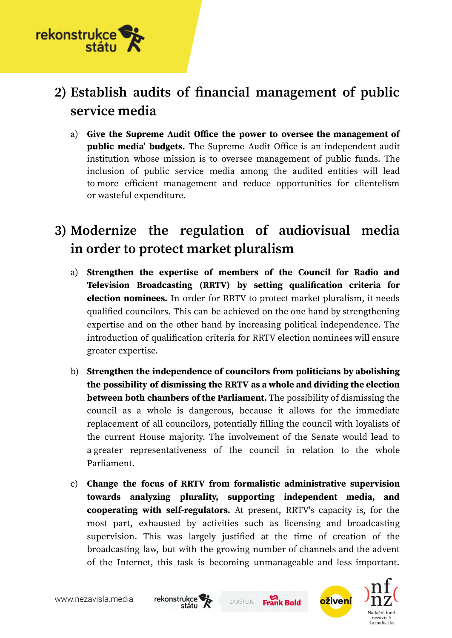

# **2) Establish audits of financial management of public service media**

a) **Give the Supreme Audit Office the power to oversee the management of public media' budgets.** The Supreme Audit Office is an independent audit institution whose mission is to oversee management of public funds. The inclusion of public service media among the audited entities will lead to more efficient management and reduce opportunities for clientelism or wasteful expenditure.

## **3) Modernize the regulation of audiovisual media in order to protect market pluralism**

- a) **Strengthen the expertise of members of the Council for Radio and Television Broadcasting (RRTV) by setting qualification criteria for election nominees.** In order for RRTV to protect market pluralism, it needs qualified councilors. This can be achieved on the one hand by strengthening expertise and on the other hand by increasing political independence. The introduction of qualification criteria for RRTV election nominees will ensure greater expertise.
- b) **Strengthen the independence of councilors from politicians by abolishing the possibility of dismissing the RRTV as a whole and dividing the election between both chambers of the Parliament.** The possibility of dismissing the council as a whole is dangerous, because it allows for the immediate replacement of all councilors, potentially filling the council with loyalists of the current House majority. The involvement of the Senate would lead to a greater representativeness of the council in relation to the whole Parliament.
- c) **Change the focus of RRTV from formalistic administrative supervision towards analyzing plurality, supporting independent media, and cooperating with self-regulators.** At present, RRTV's capacity is, for the most part, exhausted by activities such as licensing and broadcasting supervision. This was largely justified at the time of creation of the broadcasting law, but with the growing number of channels and the advent of the Internet, this task is becoming unmanageable and less important.







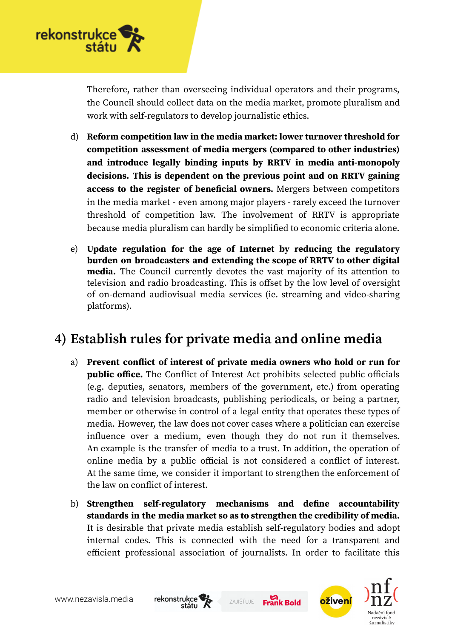

Therefore, rather than overseeing individual operators and their programs, the Council should collect data on the media market, promote pluralism and work with self-regulators to develop journalistic ethics.

- d) **Reform competition law in the media market: lower turnover threshold for competition assessment of media mergers (compared to other industries) and introduce legally binding inputs by RRTV in media anti-monopoly decisions. This is dependent on the previous point and on RRTV gaining access to the register of beneficial owners.** Mergers between competitors in the media market - even among major players - rarely exceed the turnover threshold of competition law. The involvement of RRTV is appropriate because media pluralism can hardly be simplified to economic criteria alone.
- e) **Update regulation for the age of Internet by reducing the regulatory burden on broadcasters and extending the scope of RRTV to other digital media.** The Council currently devotes the vast majority of its attention to television and radio broadcasting. This is offset by the low level of oversight of on-demand audiovisual media services (ie. streaming and video-sharing platforms).

### **4) Establish rules for private media and online media**

- a) **Prevent conflict of interest of private media owners who hold or run for public office.** The Conflict of Interest Act prohibits selected public officials (e.g. deputies, senators, members of the government, etc.) from operating radio and television broadcasts, publishing periodicals, or being a partner, member or otherwise in control of a legal entity that operates these types of media. However, the law does not cover cases where a politician can exercise influence over a medium, even though they do not run it themselves. An example is the transfer of media to a trust. In addition, the operation of online media by a public official is not considered a conflict of interest. At the same time, we consider it important to strengthen the enforcement of the law on conflict of interest.
- b) **Strengthen self-regulatory mechanisms and define accountability standards in the media market so as to strengthen the credibility of media.** It is desirable that private media establish self-regulatory bodies and adopt internal codes. This is connected with the need for a transparent and efficient professional association of journalists. In order to facilitate this